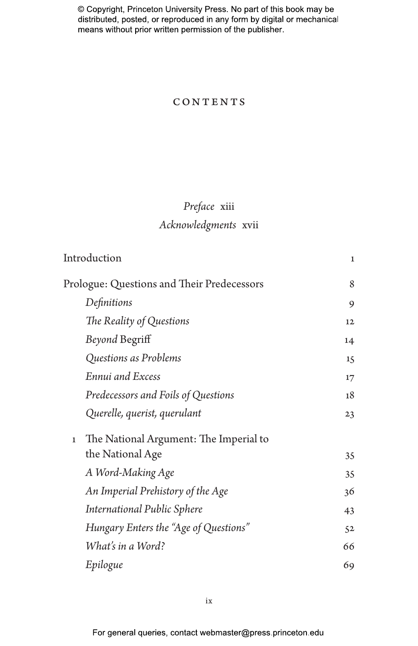## CONTENTS

# *Preface* xiii

# *Acknowledgments* xvii

| Introduction                                           | $\mathbf{1}$ |
|--------------------------------------------------------|--------------|
| Prologue: Questions and Their Predecessors             | 8            |
| Definitions                                            | 9            |
| The Reality of Questions                               | 12           |
| Beyond Begriff                                         | 14           |
| Questions as Problems                                  | 15           |
| Ennui and Excess                                       | 17           |
| Predecessors and Foils of Questions                    | 18           |
| Querelle, querist, querulant                           | 23           |
| The National Argument: The Imperial to<br>$\mathbf{1}$ |              |
| the National Age                                       | 35           |
| A Word-Making Age                                      | 35           |
| An Imperial Prehistory of the Age                      | 36           |
| International Public Sphere                            | 43           |
| Hungary Enters the "Age of Questions"                  | 52           |
| What's in a Word?                                      | 66           |
| Epilogue                                               | 69           |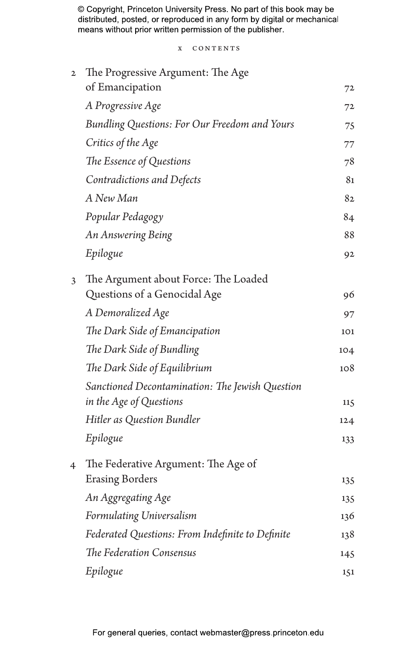#### x **CONTENTS**

| $\mathbf{2}$ | The Progressive Argument: The Age<br>of Emancipation | 72  |
|--------------|------------------------------------------------------|-----|
|              | A Progressive Age                                    | 72  |
|              | Bundling Questions: For Our Freedom and Yours        | 75  |
|              | Critics of the Age                                   | 77  |
|              | The Essence of Questions                             | 78  |
|              | Contradictions and Defects                           | 81  |
|              | A New Man                                            | 82  |
|              | Popular Pedagogy                                     | 84  |
|              | An Answering Being                                   | 88  |
|              | Epilogue                                             | 92  |
| 3            | The Argument about Force: The Loaded                 |     |
|              | Questions of a Genocidal Age                         | 96  |
|              | A Demoralized Age                                    | 97  |
|              | The Dark Side of Emancipation                        | 101 |
|              | The Dark Side of Bundling                            | 104 |
|              | The Dark Side of Equilibrium                         | 108 |
|              | Sanctioned Decontamination: The Jewish Question      |     |
|              | in the Age of Questions                              | 115 |
|              | <b>Hitler as Question Bundler</b>                    | 124 |
|              | Epilogue                                             | 133 |
| 4            | The Federative Argument: The Age of                  |     |
|              | <b>Erasing Borders</b>                               | 135 |
|              | An Aggregating Age                                   | 135 |
|              | Formulating Universalism                             | 136 |
|              | Federated Questions: From Indefinite to Definite     | 138 |
|              | The Federation Consensus                             | 145 |
|              | Epilogue                                             | 151 |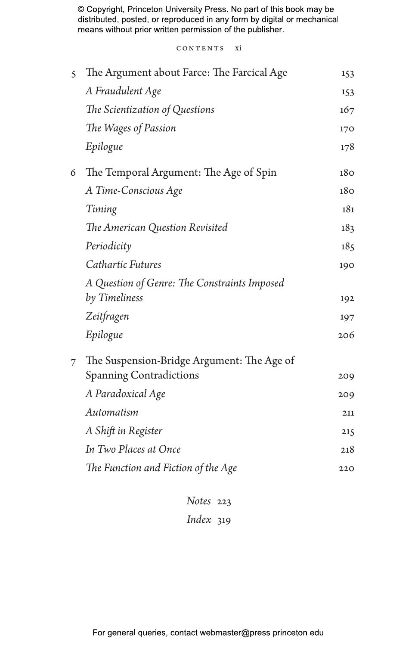#### contents xi

| 5 | The Argument about Farce: The Farcical Age                    | 153 |
|---|---------------------------------------------------------------|-----|
|   | A Fraudulent Age                                              | 153 |
|   | The Scientization of Questions                                | 167 |
|   | The Wages of Passion                                          | 170 |
|   | Epilogue                                                      | 178 |
| 6 | The Temporal Argument: The Age of Spin                        | 180 |
|   | A Time-Conscious Age                                          | 180 |
|   | Timing                                                        | 181 |
|   | The American Question Revisited                               | 183 |
|   | Periodicity                                                   | 185 |
|   | Cathartic Futures                                             | 190 |
|   | A Question of Genre: The Constraints Imposed<br>by Timeliness | 192 |
|   | Zeitfragen                                                    | 197 |
|   | Epilogue                                                      | 206 |
| 7 | The Suspension-Bridge Argument: The Age of                    |     |
|   | <b>Spanning Contradictions</b>                                | 209 |
|   | A Paradoxical Age                                             | 209 |
|   | Automatism                                                    | 211 |
|   | A Shift in Register                                           | 215 |
|   | In Two Places at Once                                         | 218 |
|   | The Function and Fiction of the Age                           | 220 |
|   | Notes 223                                                     |     |

*Index* 319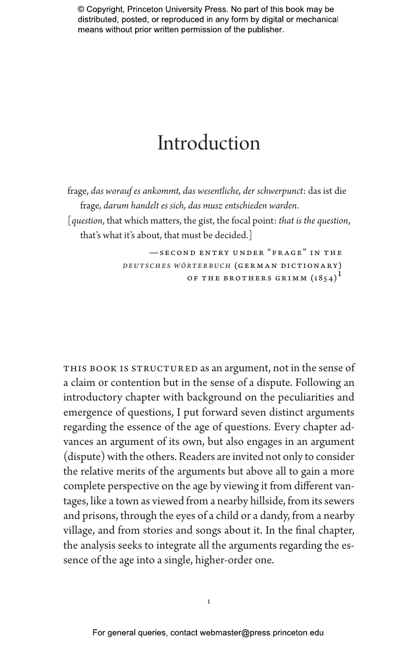# Introduction

frage, *das worauf es ankommt, das wesentliche, der schwerpunct*: das ist die frage, *darum handelt es sich, das musz entschieden warden*.

[*question*, that which matters, the gist, the focal point: *that is the question*, that's what it's about, that must be decided.]

> $-$ SECOND ENTRY UNDER "FRAGE" IN THE *Deutsches Wörterbuch* (German Dictionary) OF THE BROTHERS GRIMM  $(1854)^1$

THIS BOOK IS STRUCTURED as an argument, not in the sense of a claim or contention but in the sense of a dispute. Following an introductory chapter with background on the peculiarities and emergence of questions, I put forward seven distinct arguments regarding the essence of the age of questions*.* Every chapter advances an argument of its own, but also engages in an argument (dispute) with the others. Readers are invited not only to consider the relative merits of the arguments but above all to gain a more complete perspective on the age by viewing it from different vantages, like a town as viewed from a nearby hillside, from its sewers and prisons, through the eyes of a child or a dandy, from a nearby village, and from stories and songs about it. In the final chapter, the analysis seeks to integrate all the arguments regarding the essence of the age into a single, higher-order one.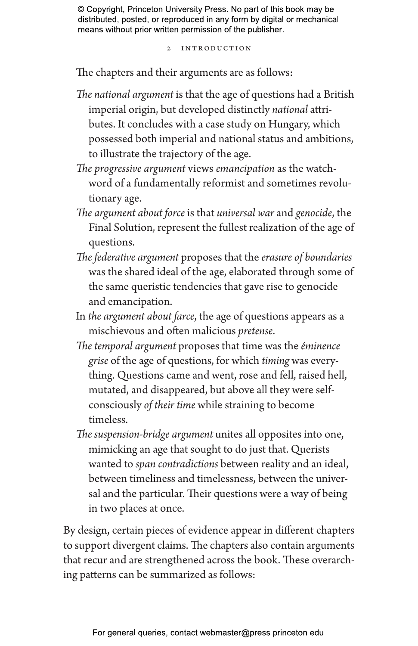2 introduction

The chapters and their arguments are as follows:

- *The national argument* is that the age of questions had a British imperial origin, but developed distinctly *national* attributes. It concludes with a case study on Hungary, which possessed both imperial and national status and ambitions, to illustrate the trajectory of the age.
- *The progressive argument* views *emancipation* as the watchword of a fundamentally reformist and sometimes revolutionary age.
- *The argument about force* is that *universal war* and *genocide*, the Final Solution, represent the fullest realization of the age of questions.
- *The federative argument* proposes that the *erasure of boundaries* was the shared ideal of the age, elaborated through some of the same queristic tendencies that gave rise to genocide and emancipation.
- In *the argument about farce*, the age of questions appears as a mischievous and often malicious *pretense*.
- *The temporal argument* proposes that time was the *éminence grise* of the age of questions, for which *timing* was everything. Questions came and went, rose and fell, raised hell, mutated, and disappeared, but above all they were selfconsciously *of their time* while straining to become timeless.
- *The suspension-bridge argument* unites all opposites into one, mimicking an age that sought to do just that. Querists wanted to *span contradictions* between reality and an ideal, between timeliness and timelessness, between the universal and the particular. Their questions were a way of being in two places at once.

By design, certain pieces of evidence appear in different chapters to support divergent claims. The chapters also contain arguments that recur and are strengthened across the book. These overarching patterns can be summarized as follows: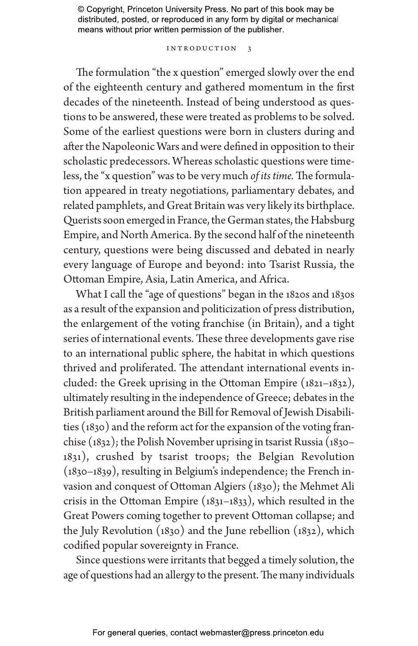## introduction 3

The formulation "the x question" emerged slowly over the end of the eighteenth century and gathered momentum in the first decades of the nineteenth. Instead of being understood as questions to be answered, these were treated as problems to be solved. Some of the earliest questions were born in clusters during and after the Napoleonic Wars and were defined in opposition to their scholastic predecessors. Whereas scholastic questions were timeless, the "x question" was to be very much *of its time.* The formulation appeared in treaty negotiations, parliamentary debates, and related pamphlets, and Great Britain was very likely its birthplace. Querists soon emerged in France, the German states, the Habsburg Empire, and North America. By the second half of the nineteenth century, questions were being discussed and debated in nearly every language of Europe and beyond: into Tsarist Russia, the Ottoman Empire, Asia, Latin America, and Africa.

What I call the "age of questions" began in the 1820s and 1830s as a result of the expansion and politicization of press distribution, the enlargement of the voting franchise (in Britain), and a tight series of international events. These three developments gave rise to an international public sphere, the habitat in which questions thrived and proliferated. The attendant international events included: the Greek uprising in the Ottoman Empire (1821–1832), ultimately resulting in the independence of Greece; debates in the British parliament around the Bill for Removal of Jewish Disabilities (1830) and the reform act for the expansion of the voting franchise (1832); the Polish November uprising in tsarist Russia (1830– 1831), crushed by tsarist troops; the Belgian Revolution (1830–1839), resulting in Belgium's independence; the French invasion and conquest of Ottoman Algiers (1830); the Mehmet Ali crisis in the Ottoman Empire (1831–1833), which resulted in the Great Powers coming together to prevent Ottoman collapse; and the July Revolution (1830) and the June rebellion (1832), which codified popular sovereignty in France.

Since questions were irritants that begged a timely solution, the age of questions had an allergy to the present. The many individuals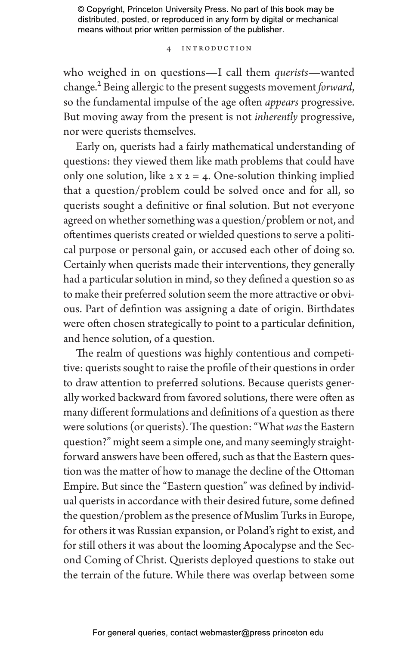4 introduction

who weighed in on questions—I call them *querists*—wanted change.2 Being allergic to the present suggests movement *forward*, so the fundamental impulse of the age often *appears* progressive. But moving away from the present is not *inherently* progressive, nor were querists themselves.

Early on, querists had a fairly mathematical understanding of questions: they viewed them like math problems that could have only one solution, like  $2 x 2 = 4$ . One-solution thinking implied that a question/problem could be solved once and for all, so querists sought a definitive or final solution. But not everyone agreed on whether something was a question/problem or not, and oftentimes querists created or wielded questions to serve a political purpose or personal gain, or accused each other of doing so. Certainly when querists made their interventions, they generally had a particular solution in mind, so they defined a question so as to make their preferred solution seem the more attractive or obvious. Part of defintion was assigning a date of origin. Birthdates were often chosen strategically to point to a particular definition, and hence solution, of a question.

The realm of questions was highly contentious and competitive: querists sought to raise the profile of their questions in order to draw attention to preferred solutions. Because querists generally worked backward from favored solutions, there were often as many different formulations and definitions of a question as there were solutions (or querists). The question: "What *was* the Eastern question?" might seem a simple one, and many seemingly straightforward answers have been offered, such as that the Eastern question was the matter of how to manage the decline of the Ottoman Empire. But since the "Eastern question" was defined by individual querists in accordance with their desired future, some defined the question/problem as the presence of Muslim Turks in Europe, for others it was Russian expansion, or Poland's right to exist, and for still others it was about the looming Apocalypse and the Second Coming of Christ. Querists deployed questions to stake out the terrain of the future. While there was overlap between some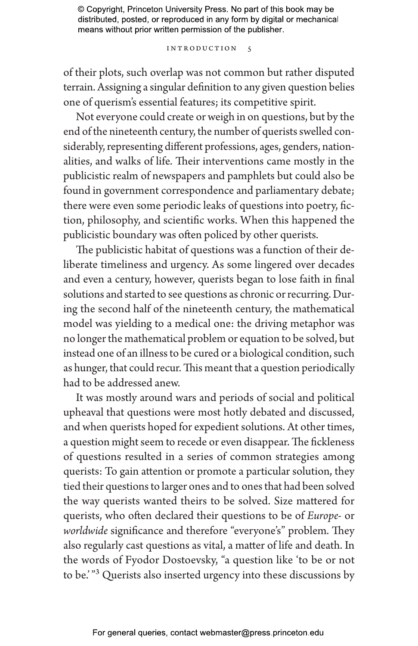## introduction 5

of their plots, such overlap was not common but rather disputed terrain. Assigning a singular definition to any given question belies one of querism's essential features; its competitive spirit.

Not everyone could create or weigh in on questions, but by the end of the nineteenth century, the number of querists swelled considerably, representing different professions, ages, genders, nationalities, and walks of life. Their interventions came mostly in the publicistic realm of newspapers and pamphlets but could also be found in government correspondence and parliamentary debate; there were even some periodic leaks of questions into poetry, fiction, philosophy, and scientific works. When this happened the publicistic boundary was often policed by other querists.

The publicistic habitat of questions was a function of their deliberate timeliness and urgency. As some lingered over decades and even a century, however, querists began to lose faith in final solutions and started to see questions as chronic or recurring. During the second half of the nineteenth century, the mathematical model was yielding to a medical one: the driving metaphor was no longer the mathematical problem or equation to be solved, but instead one of an illness to be cured or a biological condition, such as hunger, that could recur. This meant that a question periodically had to be addressed anew.

It was mostly around wars and periods of social and political upheaval that questions were most hotly debated and discussed, and when querists hoped for expedient solutions. At other times, a question might seem to recede or even disappear. The fickleness of questions resulted in a series of common strategies among querists: To gain attention or promote a particular solution, they tied their questions to larger ones and to ones that had been solved the way querists wanted theirs to be solved. Size mattered for querists, who often declared their questions to be of *Europe-* or *worldwide* significance and therefore "everyone's" problem. They also regularly cast questions as vital, a matter of life and death. In the words of Fyodor Dostoevsky, "a question like 'to be or not to be.'"3 Querists also inserted urgency into these discussions by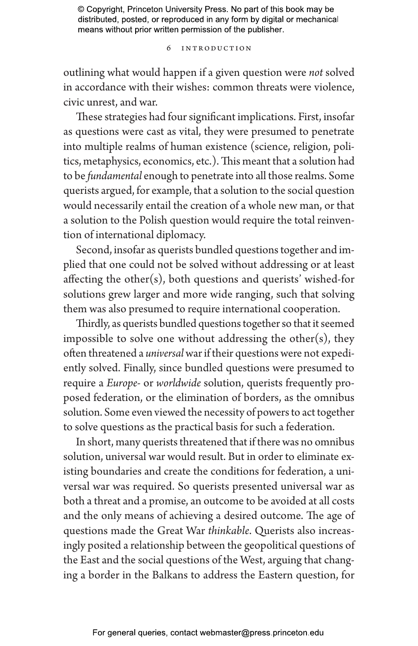6 introduction

outlining what would happen if a given question were *not* solved in accordance with their wishes: common threats were violence, civic unrest, and war.

These strategies had four significant implications. First, insofar as questions were cast as vital, they were presumed to penetrate into multiple realms of human existence (science, religion, politics, metaphysics, economics, etc.). This meant that a solution had to be *fundamental* enough to penetrate into all those realms. Some querists argued, for example, that a solution to the social question would necessarily entail the creation of a whole new man, or that a solution to the Polish question would require the total reinvention of international diplomacy.

Second, insofar as querists bundled questions together and implied that one could not be solved without addressing or at least affecting the other(s), both questions and querists' wished-for solutions grew larger and more wide ranging, such that solving them was also presumed to require international cooperation.

Thirdly, as querists bundled questions together so that it seemed impossible to solve one without addressing the other(s), they often threatened a *universal* war if their questions were not expediently solved. Finally, since bundled questions were presumed to require a *Europe-* or *worldwide* solution, querists frequently proposed federation, or the elimination of borders, as the omnibus solution. Some even viewed the necessity of powers to act together to solve questions as the practical basis for such a federation.

In short, many querists threatened that if there was no omnibus solution, universal war would result. But in order to eliminate existing boundaries and create the conditions for federation, a universal war was required. So querists presented universal war as both a threat and a promise, an outcome to be avoided at all costs and the only means of achieving a desired outcome. The age of questions made the Great War *thinkable*. Querists also increasingly posited a relationship between the geopolitical questions of the East and the social questions of the West, arguing that changing a border in the Balkans to address the Eastern question, for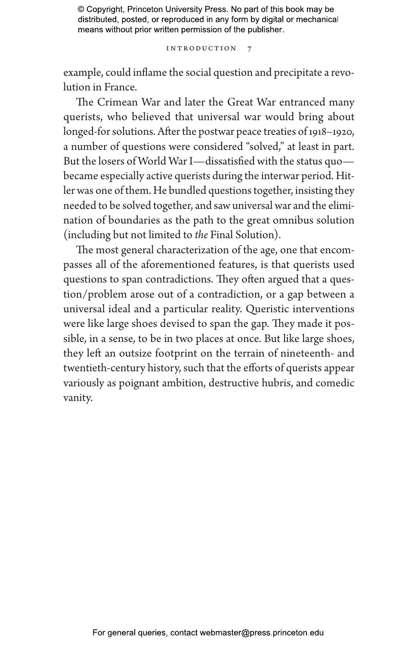introduction 7

example, could inflame the social question and precipitate a revolution in France.

The Crimean War and later the Great War entranced many querists, who believed that universal war would bring about longed-for solutions. After the postwar peace treaties of 1918–1920, a number of questions were considered "solved," at least in part. But the losers of World War I—dissatisfied with the status quo became especially active querists during the interwar period. Hitler was one of them. He bundled questions together, insisting they needed to be solved together, and saw universal war and the elimination of boundaries as the path to the great omnibus solution (including but not limited to *the* Final Solution).

The most general characterization of the age, one that encompasses all of the aforementioned features, is that querists used questions to span contradictions. They often argued that a question/problem arose out of a contradiction, or a gap between a universal ideal and a particular reality. Queristic interventions were like large shoes devised to span the gap. They made it possible, in a sense, to be in two places at once. But like large shoes, they left an outsize footprint on the terrain of nineteenth- and twentieth-century history, such that the efforts of querists appear variously as poignant ambition, destructive hubris, and comedic vanity.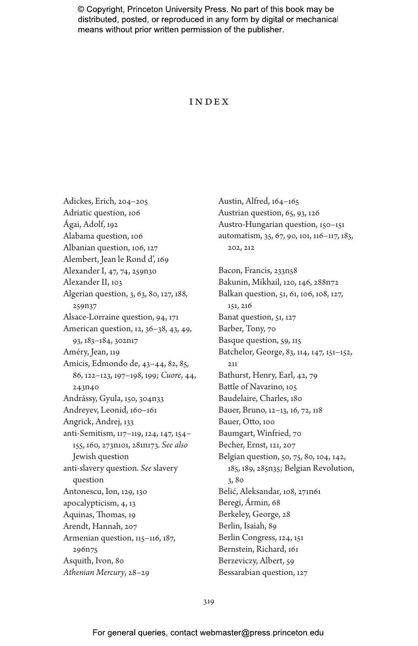#### index

Adickes, Erich, 204–205 Adriatic question, 106 Ágai, Adolf, 192 Alabama question, 106 Albanian question, 106, 127 Alembert, Jean le Rond d', 169 Alexander I, 47, 74, 259n30 Alexander II, 103 Algerian question, 3, 63, 80, 127, 188, 259n37 Alsace-Lorraine question, 94, 171 American question, 12, 36–38, 43, 49, 93, 183–184, 302n17 Améry, Jean, 119 Amicis, Edmondo de, 43–44, 82, 85, 86, 122–123, 197–198, 199; *Cuore*, 44, 243n40 Andrássy, Gyula, 150, 304n33 Andreyev, Leonid, 160–161 Angrick, Andrej, 133 anti-Semitism, 117–119, 124, 147, 154– 155, 160, 273n101, 281n173. *See also* Jewish question anti-slavery question. *See* slavery question Antonescu, Ion, 129, 130 apocalypticism, 4, 13 Aquinas, Thomas, 19 Arendt, Hannah, 207 Armenian question, 115–116, 187, 296n75 Asquith, Ivon, 80 *Athenian Mercury*, 28–29

Austin, Alfred, 164–165 Austrian question, 65, 93, 126 Austro-Hungarian question, 150–151 automatism, 35, 67, 90, 101, 116–117, 183, 202, 212 Bacon, Francis, 233n58 Bakunin, Mikhail, 120, 146, 288n72 Balkan question, 51, 61, 106, 108, 127, 151, 216 Banat question, 51, 127 Barber, Tony, 70 Basque question, 59, 115 Batchelor, George, 83, 114, 147, 151–152, 211 Bathurst, Henry, Earl, 42, 79 Battle of Navarino, 105 Baudelaire, Charles, 180 Bauer, Bruno, 12–13, 16, 72, 118 Bauer, Otto, 100 Baumgart, Winfried, 70 Becher, Ernst, 121, 207 Belgian question, 50, 75, 80, 104, 142, 185, 189, 285n35; Belgian Revolution, 3, 80 Belić, Aleksandar, 108, 271n61 Beregi, Ármin, 68 Berkeley, George, 28 Berlin, Isaiah, 89 Berlin Congress, 124, 151 Bernstein, Richard, 161 Berzeviczy, Albert, 59 Bessarabian question, 127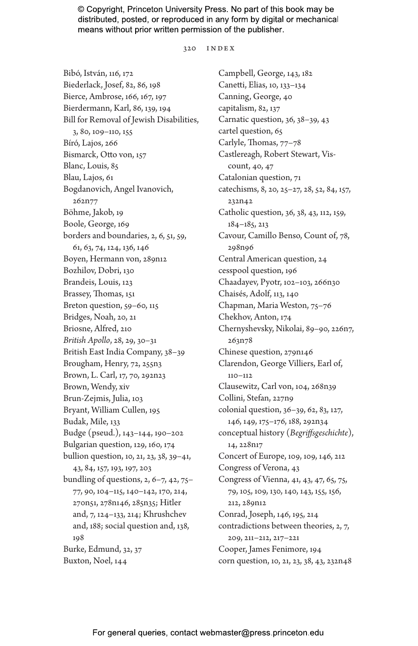320 index

Bibó, István, 116, 172 Biederlack, Josef, 82, 86, 198 Bierce, Ambrose, 166, 167, 197 Bierdermann, Karl, 86, 139, 194 Bill for Removal of Jewish Disabilities, 3, 80, 109–110, 155 Bíró, Lajos, 266 Bismarck, Otto von, 157 Blanc, Louis, 85 Blau, Lajos, 61 Bogdanovich, Angel Ivanovich, 262n77 Böhme, Jakob, 19 Boole, George, 169 borders and boundaries, 2, 6, 51, 59, 61, 63, 74, 124, 136, 146 Boyen, Hermann von, 289n12 Bozhilov, Dobri, 130 Brandeis, Louis, 123 Brassey, Thomas, 151 Breton question, 59–60, 115 Bridges, Noah, 20, 21 Briosne, Alfred, 210 *British Apollo*, 28, 29, 30–31 British East India Company, 38–39 Brougham, Henry, 72, 255n3 Brown, L. Carl, 17, 70, 292n23 Brown, Wendy, xiv Brun-Zejmis, Julia, 103 Bryant, William Cullen, 195 Budak, Mile, 133 Budge (pseud.), 143–144, 190–202 Bulgarian question, 129, 160, 174 bullion question, 10, 21, 23, 38, 39–41, 43, 84, 157, 193, 197, 203 bundling of questions,  $2, 6-7, 42, 75-$ 77, 90, 104–115, 140–142, 170, 214, 270n51, 278n146, 285n35; Hitler and, 7, 124–133, 214; Khrushchev and, 188; social question and, 138, 198 Burke, Edmund, 32, 37 Buxton, Noel, 144

Campbell, George, 143, 182 Canetti, Elias, 10, 133–134 Canning, George, 40 capitalism, 82, 137 Carnatic question, 36, 38–39, 43 cartel question, 65 Carlyle, Thomas, 77–78 Castlereagh, Robert Stewart, Viscount, 40, 47 Catalonian question, 71 catechisms, 8, 20, 25–27, 28, 52, 84, 157, 232n42 Catholic question, 36, 38, 43, 112, 159, 184–185, 213 Cavour, Camillo Benso, Count of, 78, 298n96 Central American question, 24 cesspool question, 196 Chaadayev, Pyotr, 102–103, 266n30 Chaisés, Adolf, 113, 140 Chapman, Maria Weston, 75–76 Chekhov, Anton, 174 Chernyshevsky, Nikolai, 89–90, 226n7, 263n78 Chinese question, 279n146 Clarendon, George Villiers, Earl of, 110–112 Clausewitz, Carl von, 104, 268n39 Collini, Stefan, 227n9 colonial question, 36–39, 62, 83, 127, 146, 149, 175–176, 188, 292n34 conceptual history (*Begriffsgeschichte*), 14, 228n17 Concert of Europe, 109, 109, 146, 212 Congress of Verona, 43 Congress of Vienna, 41, 43, 47, 65, 75, 79, 105, 109, 130, 140, 143, 155, 156, 212, 289n12 Conrad, Joseph, 146, 195, 214 contradictions between theories, 2, 7, 209, 211–212, 217–221 Cooper, James Fenimore, 194 corn question, 10, 21, 23, 38, 43, 232n48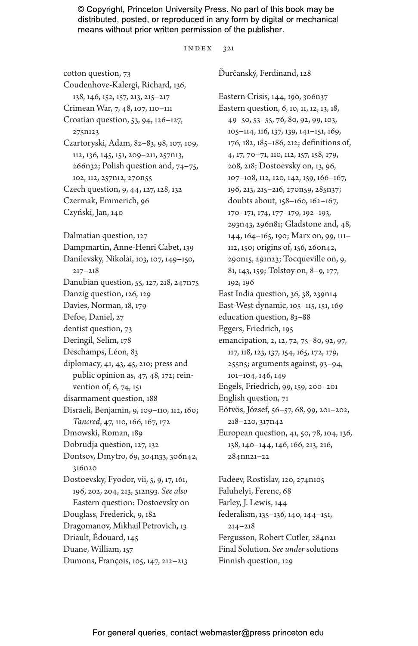index 321

cotton question, 73 Coudenhove-Kalergi, Richard, 136, 138, 146, 152, 157, 213, 215–217 Crimean War, 7, 48, 107, 110–111 Croatian question, 53, 94, 126–127, 275n123 Czartoryski, Adam, 82–83, 98, 107, 109, 112, 136, 145, 151, 209–211, 257n13, 266n32; Polish question and, 74–75, 102, 112, 257n12, 270n55 Czech question, 9, 44, 127, 128, 132 Czermak, Emmerich, 96 Czyński, Jan, 140 Dalmatian question, 127 Dampmartin, Anne-Henri Cabet, 139 Danilevsky, Nikolai, 103, 107, 149–150, 217–218 Danubian question, 55, 127, 218, 247n75 Danzig question, 126, 129 Davies, Norman, 18, 179 Defoe, Daniel, 27 dentist question, 73 Deringil, Selim, 178 Deschamps, Léon, 83 diplomacy, 41, 43, 45, 210; press and public opinion as, 47, 48, 172; reinvention of, 6, 74, 151 disarmament question, 188 Disraeli, Benjamin, 9, 109–110, 112, 160; *Tancred*, 47, 110, 166, 167, 172 Dmowski, Roman, 189 Dobrudja question, 127, 132 Dontsov, Dmytro, 69, 304n33, 306n42, 316n20 Dostoevsky, Fyodor, vii, 5, 9, 17, 161, 196, 202, 204, 213, 312n93. *See also* Eastern question: Dostoevsky on Douglass, Frederick, 9, 182 Dragomanov, Mikhail Petrovich, 13 Driault, Édouard, 145 Duane, William, 157 Dumons, François, 105, 147, 212–213

Ďurčanský, Ferdinand, 128

Eastern Crisis, 144, 190, 306n37 Eastern question, 6, 10, 11, 12, 13, 18, 49–50, 53–55, 76, 80, 92, 99, 103, 105–114, 116, 137, 139, 141–151, 169, 176, 182, 185–186, 212; definitions of, 4, 17, 70–71, 110, 112, 157, 158, 179, 208, 218; Dostoevsky on, 13, 96, 107–108, 112, 120, 142, 159, 166–167, 196, 213, 215–216, 270n59, 285n37; doubts about, 158–160, 162–167, 170–171, 174, 177–179, 192–193, 293n43, 296n81; Gladstone and, 48, 144, 164–165, 190; Marx on, 99, 111– 112, 150; origins of, 156, 260n42, 290n15, 291n23; Tocqueville on, 9, 81, 143, 159; Tolstoy on, 8–9, 177, 192, 196 East India question, 36, 38, 239n14 East-West dynamic, 105–115, 151, 169 education question, 83–88 Eggers, Friedrich, 195 emancipation, 2, 12, 72, 75–80, 92, 97, 117, 118, 123, 137, 154, 165, 172, 179, 255n5; arguments against, 93–94, 101–104, 146, 149 Engels, Friedrich, 99, 159, 200–201 English question, 71 Eötvös, József, 56–57, 68, 99, 201–202, 218–220, 317n42 European question, 41, 50, 78, 104, 136, 138, 140–144, 146, 166, 213, 216, 284nn21–22

Fadeev, Rostislav, 120, 274n105 Faluhelyi, Ferenc, 68 Farley, J. Lewis, 144 federalism, 135–136, 140, 144–151, 214–218 Fergusson, Robert Cutler, 284n21 Final Solution. *See under* solutions Finnish question, 129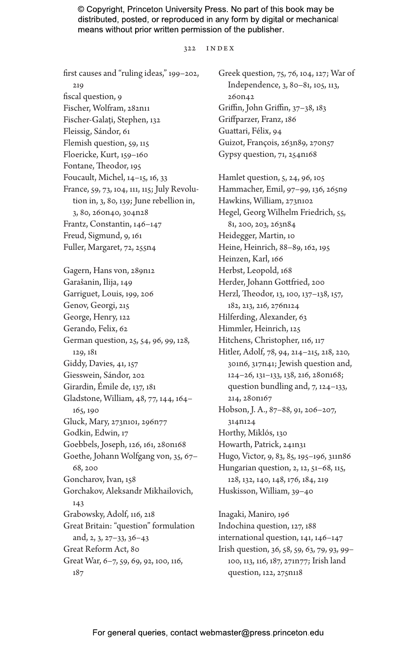322 index

first causes and "ruling ideas," 199–202, 219 fiscal question, 9 Fischer, Wolfram, 282n11 Fischer-Galaţi, Stephen, 132 Fleissig, Sándor, 61 Flemish question, 59, 115 Floericke, Kurt, 159–160 Fontane, Theodor, 195 Foucault, Michel, 14–15, 16, 33 France, 59, 73, 104, 111, 115; July Revolution in, 3, 80, 139; June rebellion in, 3, 80, 260n40, 304n28 Frantz, Constantin, 146–147 Freud, Sigmund, 9, 161 Fuller, Margaret, 72, 255n4 Gagern, Hans von, 289n12 Garašanin, Ilija, 149 Garriguet, Louis, 199, 206 Genov, Georgi, 215 George, Henry, 122 Gerando, Felix, 62 German question, 25, 54, 96, 99, 128, 129, 181 Giddy, Davies, 41, 157 Giesswein, Sándor, 202 Girardin, Émile de, 137, 181 Gladstone, William, 48, 77, 144, 164– 165, 190 Gluck, Mary, 273n101, 296n77 Godkin, Edwin, 17 Goebbels, Joseph, 126, 161, 280n168 Goethe, Johann Wolfgang von, 35, 67– 68, 200 Goncharov, Ivan, 158 Gorchakov, Aleksandr Mikhailovich, 143 Grabowsky, Adolf, 116, 218 Great Britain: "question" formulation and, 2, 3, 27–33, 36–43 Great Reform Act, 80 Great War, 6–7, 59, 69, 92, 100, 116, 187

Greek question, 75, 76, 104, 127; War of Independence, 3, 80–81, 105, 113, 260n42 Griffin, John Griffin, 37–38, 183 Griffparzer, Franz, 186 Guattari, Félix, 94 Guizot, François, 263n89, 270n57 Gypsy question, 71, 254n168 Hamlet question, 5, 24, 96, 105 Hammacher, Emil, 97–99, 136, 265n9 Hawkins, William, 273n102 Hegel, Georg Wilhelm Friedrich, 55, 81, 200, 203, 263n84 Heidegger, Martin, 10 Heine, Heinrich, 88–89, 162, 195 Heinzen, Karl, 166 Herbst, Leopold, 168 Herder, Johann Gottfried, 200 Herzl, Theodor, 13, 100, 137–138, 157, 182, 213, 216, 276n124 Hilferding, Alexander, 63 Himmler, Heinrich, 125 Hitchens, Christopher, 116, 117 Hitler, Adolf, 78, 94, 214–215, 218, 220, 301n6, 317n41; Jewish question and, 124–26, 131–133, 138, 216, 280n168; question bundling and, 7, 124–133, 214, 280n167 Hobson, J. A., 87–88, 91, 206–207, 314n124 Horthy, Miklós, 130 Howarth, Patrick, 241n31 Hugo, Victor, 9, 83, 85, 195–196, 311n86 Hungarian question, 2, 12, 51–68, 115, 128, 132, 140, 148, 176, 184, 219 Huskisson, William, 39–40 Inagaki, Maniro, 196 Indochina question, 127, 188 international question, 141, 146–147 Irish question, 36, 58, 59, 63, 79, 93, 99– 100, 113, 116, 187, 271n77; Irish land

question, 122, 275n118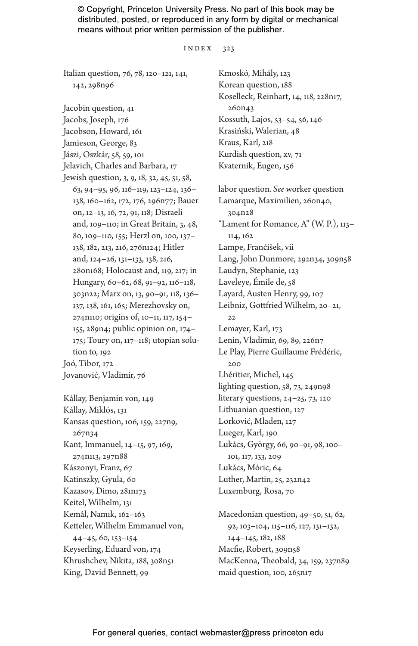#### index 323

Italian question, 76, 78, 120–121, 141, 142, 298n96

Jacobin question, 41 Jacobs, Joseph, 176 Jacobson, Howard, 161 Jamieson, George, 83 Jászi, Oszkár, 58, 59, 101 Jelavich, Charles and Barbara, 17 Jewish question, 3, 9, 18, 32, 45, 51, 58, 63, 94–95, 96, 116–119, 123–124, 136– 138, 160–162, 172, 176, 296n77; Bauer on, 12–13, 16, 72, 91, 118; Disraeli and, 109–110; in Great Britain, 3, 48, 80, 109–110, 155; Herzl on, 100, 137– 138, 182, 213, 216, 276n124; Hitler and, 124–26, 131–133, 138, 216, 280n168; Holocaust and, 119, 217; in Hungary, 60–62, 68, 91–92, 116–118, 303n22; Marx on, 13, 90–91, 118, 136– 137, 138, 161, 165; Merezhovsky on, 274n110; origins of, 10–11, 117, 154– 155, 289n4; public opinion on, 174– 175; Toury on, 117–118; utopian solution to, 192 Joó, Tibor, 172 Jovanović, Vladimir, 76

Kállay, Benjamin von, 149 Kállay, Miklós, 131 Kansas question, 106, 159, 227n9, 267n34 Kant, Immanuel, 14–15, 97, 169, 274n113, 297n88 Kászonyi, Franz, 67 Katinszky, Gyula, 60 Kazasov, Dimo, 281n173 Keitel, Wilhelm, 131 Kemâl, Namık, 162–163 Ketteler, Wilhelm Emmanuel von, 44–45, 60, 153–154 Keyserling, Eduard von, 174 Khrushchev, Nikita, 188, 308n51 King, David Bennett, 99

Kmoskó, Mihály, 123 Korean question, 188 Koselleck, Reinhart, 14, 118, 228n17, 260n43 Kossuth, Lajos, 53–54, 56, 146 Krasiński, Walerian, 48 Kraus, Karl, 218 Kurdish question, xv, 71 Kvaternik, Eugen, 156 labor question. *See* worker question Lamarque, Maximilien, 260n40, 304n28 "Lament for Romance,  $A$ " (W. P.),  $113-$ 114, 162 Lampe, Frančišek, vii Lang, John Dunmore, 292n34, 309n58 Laudyn, Stephanie, 123 Laveleye, Émile de, 58 Layard, Austen Henry, 99, 107 Leibniz, Gottfried Wilhelm, 20–21,  $2.2.$ Lemayer, Karl, 173 Lenin, Vladimir, 69, 89, 226n7 Le Play, Pierre Guillaume Frédéric, 200 Lhéritier, Michel, 145 lighting question, 58, 73, 249n98 literary questions, 24–25, 73, 120 Lithuanian question, 127 Lorković, Mladen, 127 Lueger, Karl, 190 Lukács, György, 66, 90–91, 98, 100– 101, 117, 133, 209 Lukács, Móric, 64 Luther, Martin, 25, 232n42 Luxemburg, Rosa, 70 Macedonian question, 49–50, 51, 62, 92, 103–104, 115–116, 127, 131–132, 144–145, 182, 188 Macfie, Robert, 309n58

MacKenna, Theobald, 34, 159, 237n89 maid question, 100, 265n17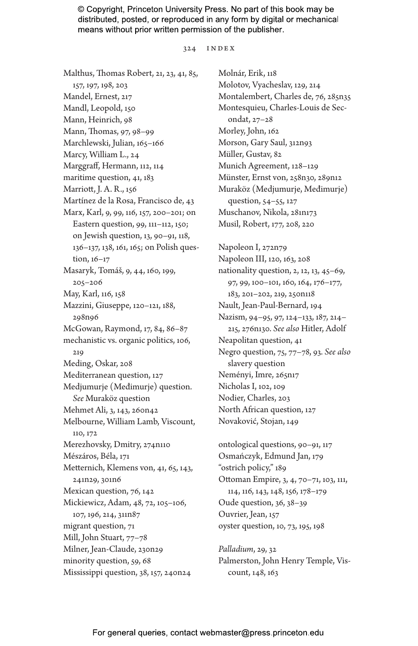324 index

Malthus, Thomas Robert, 21, 23, 41, 85, 157, 197, 198, 203 Mandel, Ernest, 217 Mandl, Leopold, 150 Mann, Heinrich, 98 Mann, Thomas, 97, 98–99 Marchlewski, Julian, 165–166 Marcy, William L., 24 Marggraff, Hermann, 112, 114 maritime question, 41, 183 Marriott, J. A. R., 156 Martínez de la Rosa, Francisco de, 43 Marx, Karl, 9, 99, 116, 157, 200–201; on Eastern question, 99, 111–112, 150; on Jewish question, 13, 90–91, 118, 136–137, 138, 161, 165; on Polish question, 16–17 Masaryk, Tomáš, 9, 44, 160, 199, 205–206 May, Karl, 116, 158 Mazzini, Giuseppe, 120–121, 188, 298n96 McGowan, Raymond, 17, 84, 86–87 mechanistic vs. organic politics, 106, 219 Meding, Oskar, 208 Mediterranean question, 127 Medjumurje (Međimurje) question. *See* Muraköz question Mehmet Ali, 3, 143, 260n42 Melbourne, William Lamb, Viscount, 110, 172 Merezhovsky, Dmitry, 274n110 Mészáros, Béla, 171 Metternich, Klemens von, 41, 65, 143, 241n29, 301n6 Mexican question, 76, 142 Mickiewicz, Adam, 48, 72, 105–106, 107, 196, 214, 311n87 migrant question, 71 Mill, John Stuart, 77–78 Milner, Jean-Claude, 230n29 minority question, 59, 68 Mississippi question, 38, 157, 240n24

Molnár, Erik, 118 Molotov, Vyacheslav, 129, 214 Montalembert, Charles de, 76, 285n35 Montesquieu, Charles-Louis de Secondat, 27–28 Morley, John, 162 Morson, Gary Saul, 312n93 Müller, Gustav, 82 Munich Agreement, 128–129 Münster, Ernst von, 258n30, 289n12 Muraköz (Medjumurje, Međimurje) question, 54–55, 127 Muschanov, Nikola, 281n173 Musil, Robert, 177, 208, 220

Napoleon I, 272n79 Napoleon III, 120, 163, 208 nationality question, 2, 12, 13, 45–69, 97, 99, 100–101, 160, 164, 176–177, 183, 201–202, 219, 250n118 Nault, Jean-Paul-Bernard, 194 Nazism, 94–95, 97, 124–133, 187, 214– 215, 276n130. *See also* Hitler, Adolf Neapolitan question, 41 Negro question, 75, 77–78, 93. *See also* slavery question Neményi, Imre, 265n17 Nicholas I, 102, 109 Nodier, Charles, 203 North African question, 127 Novaković, Stojan, 149

ontological questions, 90–91, 117 Osmańczyk, Edmund Jan, 179 "ostrich policy," 189 Ottoman Empire, 3, 4, 70–71, 103, 111, 114, 116, 143, 148, 156, 178–179 Oude question, 36, 38–39 Ouvrier, Jean, 157 oyster question, 10, 73, 195, 198

*Palladium*, 29, 32 Palmerston, John Henry Temple, Viscount, 148, 163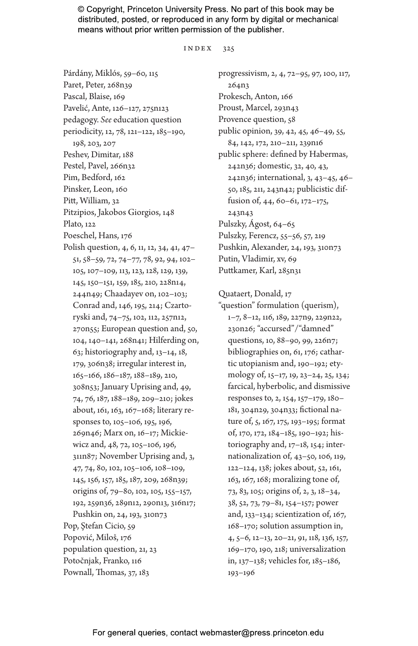index 325

Párdány, Miklós, 59–60, 115 Paret, Peter, 268n39 Pascal, Blaise, 169 Pavelić, Ante, 126–127, 275n123 pedagogy. *See* education question periodicity, 12, 78, 121–122, 185–190, 198, 203, 207 Peshev, Dimitar, 188 Pestel, Pavel, 266n32 Pim, Bedford, 162 Pinsker, Leon, 160 Pitt, William, 32 Pitzipios, Jakobos Giorgios, 148 Plato, 122 Poeschel, Hans, 176 Polish question, 4, 6, 11, 12, 34, 41, 47– 51, 58–59, 72, 74–77, 78, 92, 94, 102– 105, 107–109, 113, 123, 128, 129, 139, 145, 150–151, 159, 185, 210, 228n14, 244n49; Chaadayev on, 102–103; Conrad and, 146, 195, 214; Czartoryski and, 74–75, 102, 112, 257n12, 270n55; European question and, 50, 104, 140–141, 268n41; Hilferding on, 63; historiography and, 13–14, 18, 179, 306n38; irregular interest in, 165–166, 186–187, 188–189, 210, 308n53; January Uprising and, 49, 74, 76, 187, 188–189, 209–210; jokes about, 161, 163, 167–168; literary responses to, 105–106, 195, 196, 269n46; Marx on, 16–17; Mickiewicz and, 48, 72, 105–106, 196, 311n87; November Uprising and, 3, 47, 74, 80, 102, 105–106, 108–109, 145, 156, 157, 185, 187, 209, 268n39; origins of, 79–80, 102, 105, 155–157, 192, 259n36, 289n12, 290n13, 316n17; Pushkin on, 24, 193, 310n73 Pop, Ştefan Cicio, 59 Popović, Miloš, 176 population question, 21, 23 Potočnjak, Franko, 116 Pownall, Thomas, 37, 183

progressivism, 2, 4, 72–95, 97, 100, 117, 264n3 Prokesch, Anton, 166 Proust, Marcel, 293n43 Provence question, 58 public opinion, 39, 42, 45, 46–49, 55, 84, 142, 172, 210–211, 239n16 public sphere: defined by Habermas, 242n36; domestic, 32, 40, 43, 242n36; international, 3, 43–45, 46– 50, 185, 211, 243n42; publicistic diffusion of, 44, 60–61, 172–175, 243n43 Pulszky, Ágost, 64–65 Pulszky, Ferencz, 55–56, 57, 219 Pushkin, Alexander, 24, 193, 310n73 Putin, Vladimir, xv, 69 Puttkamer, Karl, 285n31

Quataert, Donald, 17

"question" formulation (querism), 1–7, 8–12, 116, 189, 227n9, 229n22, 230n26; "accursed"/"damned" questions, 10, 88–90, 99, 226n7; bibliographies on, 61, 176; cathartic utopianism and, 190–192; etymology of, 15–17, 19, 23–24, 25, 134; farcical, hyberbolic, and dismissive responses to, 2, 154, 157–179, 180– 181, 304n29, 304n33; fictional nature of, 5, 167, 175, 193–195; format of, 170, 172, 184–185, 190–192; historiography and, 17–18, 154; internationalization of, 43–50, 106, 119, 122–124, 138; jokes about, 52, 161, 163, 167, 168; moralizing tone of, 73, 83, 105; origins of, 2, 3, 18–34, 38, 52, 73, 79–81, 154–157; power and, 133–134; scientization of, 167, 168–170; solution assumption in, 4, 5–6, 12–13, 20–21, 91, 118, 136, 157, 169–170, 190, 218; universalization in, 137–138; vehicles for, 185–186, 193–196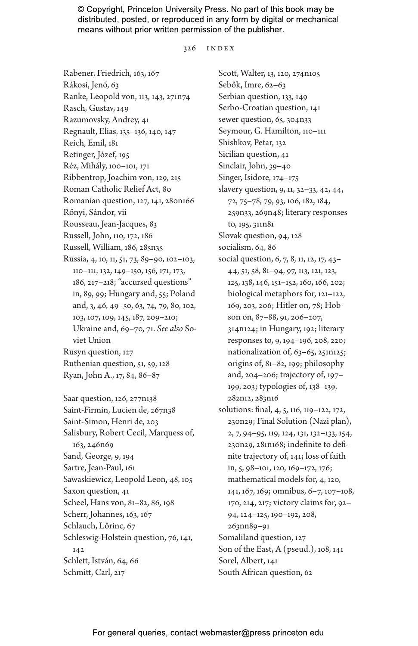326 index

Rabener, Friedrich, 163, 167 Rákosi, Jenő, 63 Ranke, Leopold von, 113, 143, 271n74 Rasch, Gustav, 149 Razumovsky, Andrey, 41 Regnault, Elias, 135–136, 140, 147 Reich, Emil, 181 Retinger, Józef, 195 Réz, Mihály, 100–101, 171 Ribbentrop, Joachim von, 129, 215 Roman Catholic Relief Act, 80 Romanian question, 127, 141, 280n166 Rőnyi, Sándor, vii Rousseau, Jean-Jacques, 83 Russell, John, 110, 172, 186 Russell, William, 186, 285n35 Russia, 4, 10, 11, 51, 73, 89–90, 102–103, 110–111, 132, 149–150, 156, 171, 173, 186, 217–218; "accursed questions" in, 89, 99; Hungary and, 55; Poland and, 3, 46, 49–50, 63, 74, 79, 80, 102, 103, 107, 109, 145, 187, 209–210; Ukraine and, 69–70, 71. *See also* Soviet Union Rusyn question, 127 Ruthenian question, 51, 59, 128 Ryan, John A., 17, 84, 86–87 Saar question, 126, 277n138

Saint-Firmin, Lucien de, 267n38 Saint-Simon, Henri de, 203 Salisbury, Robert Cecil, Marquess of, 163, 246n69 Sand, George, 9, 194 Sartre, Jean-Paul, 161 Sawaskiewicz, Leopold Leon, 48, 105 Saxon question, 41 Scheel, Hans von, 81–82, 86, 198 Scherr, Johannes, 163, 167 Schlauch, Lőrinc, 67 Schleswig-Holstein question, 76, 141, 142 Schlett, István, 64, 66 Schmitt, Carl, 217

Scott, Walter, 13, 120, 274n105 Sebők, Imre, 62–63 Serbian question, 133, 149 Serbo-Croatian question, 141 sewer question, 65, 304n33 Seymour, G. Hamilton, 110–111 Shishkov, Petar, 132 Sicilian question, 41 Sinclair, John, 39–40 Singer, Isidore, 174–175 slavery question, 9, 11, 32–33, 42, 44, 72, 75–78, 79, 93, 106, 182, 184, 259n33, 269n48; literary responses to, 195, 311n81 Slovak question, 94, 128 socialism, 64, 86 social question, 6, 7, 8, 11, 12, 17, 43– 44, 51, 58, 81–94, 97, 113, 121, 123, 125, 138, 146, 151–152, 160, 166, 202; biological metaphors for, 121–122, 169, 203, 206; Hitler on, 78; Hobson on, 87–88, 91, 206–207, 314n124; in Hungary, 192; literary responses to, 9, 194–196, 208, 220; nationalization of, 63–65, 251n125; origins of, 81–82, 199; philosophy and, 204–206; trajectory of, 197– 199, 203; typologies of, 138–139, 282n12, 283n16 solutions: final, 4, 5, 116, 119–122, 172, 230n29; Final Solution (Nazi plan), 2, 7, 94–95, 119, 124, 131, 132–133, 154, 230n29, 281n168; indefinite to definite trajectory of, 141; loss of faith in, 5, 98–101, 120, 169–172, 176; mathematical models for, 4, 120, 141, 167, 169; omnibus, 6–7, 107–108, 170, 214, 217; victory claims for, 92– 94, 124–125, 190–192, 208, 263nn89–91 Somaliland question, 127 Son of the East, A (pseud.), 108, 141 Sorel, Albert, 141

South African question, 62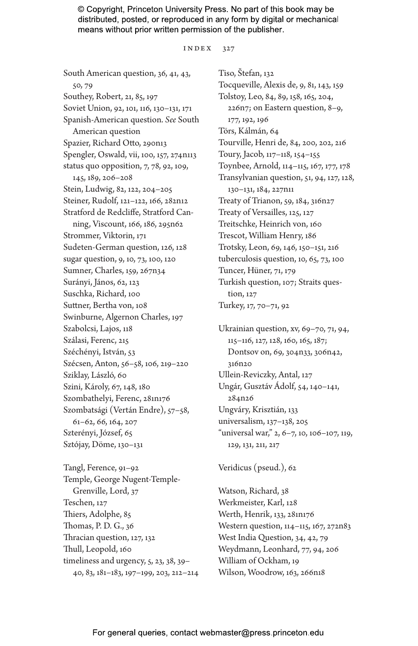index 327

South American question, 36, 41, 43, 50, 79 Southey, Robert, 21, 85, 197 Soviet Union, 92, 101, 116, 130–131, 171 Spanish-American question. *See* South American question Spazier, Richard Otto, 290n13 Spengler, Oswald, vii, 100, 157, 274n113 status quo opposition, 7, 78, 92, 109, 145, 189, 206–208 Stein, Ludwig, 82, 122, 204–205 Steiner, Rudolf, 121–122, 166, 282n12 Stratford de Redcliffe, Stratford Canning, Viscount, 166, 186, 295n62 Strommer, Viktorin, 171 Sudeten-German question, 126, 128 sugar question, 9, 10, 73, 100, 120 Sumner, Charles, 159, 267n34 Surányi, János, 62, 123 Suschka, Richard, 100 Suttner, Bertha von, 108 Swinburne, Algernon Charles, 197 Szabolcsi, Lajos, 118 Szálasi, Ferenc, 215 Széchényi, István, 53 Szécsen, Anton, 56–58, 106, 219–220 Sziklay, László, 60 Szini, Károly, 67, 148, 180 Szombathelyi, Ferenc, 281n176 Szombatsági (Vertán Endre), 57–58, 61–62, 66, 164, 207 Szterényi, József, 65 Sztójay, Döme, 130–131

Tangl, Ference, 91–92 Temple, George Nugent-Temple-Grenville, Lord, 37 Teschen, 127 Thiers, Adolphe, 85 Thomas, P. D. G., 36 Thracian question, 127, 132 Thull, Leopold, 160 timeliness and urgency, 5, 23, 38, 39– 40, 83, 181–183, 197–199, 203, 212–214

Tiso, Štefan, 132 Tocqueville, Alexis de, 9, 81, 143, 159 Tolstoy, Leo, 84, 89, 158, 165, 204, 226n7; on Eastern question, 8–9, 177, 192, 196 Törs, Kálmán, 64 Tourville, Henri de, 84, 200, 202, 216 Toury, Jacob, 117–118, 154–155 Toynbee, Arnold, 114–115, 167, 177, 178 Transylvanian question, 51, 94, 127, 128, 130–131, 184, 227n11 Treaty of Trianon, 59, 184, 316n27 Treaty of Versailles, 125, 127 Treitschke, Heinrich von, 160 Trescot, William Henry, 186 Trotsky, Leon, 69, 146, 150–151, 216 tuberculosis question, 10, 65, 73, 100 Tuncer, Hüner, 71, 179 Turkish question, 107; Straits question, 127 Turkey, 17, 70–71, 92

Ukrainian question, xv, 69–70, 71, 94, 115–116, 127, 128, 160, 165, 187; Dontsov on, 69, 304n33, 306n42, 316n20 Ullein-Reviczky, Antal, 127 Ungár, Gusztáv Ádolf, 54, 140–141, 284n26 Ungváry, Krisztián, 133 universalism, 137–138, 205 "universal war," 2, 6–7, 10, 106–107, 119, 129, 131, 211, 217

Veridicus (pseud.), 62

Watson, Richard, 38 Werkmeister, Karl, 128 Werth, Henrik, 133, 281n176 Western question, 114–115, 167, 272n83 West India Question, 34, 42, 79 Weydmann, Leonhard, 77, 94, 206 William of Ockham, 19 Wilson, Woodrow, 163, 266n18